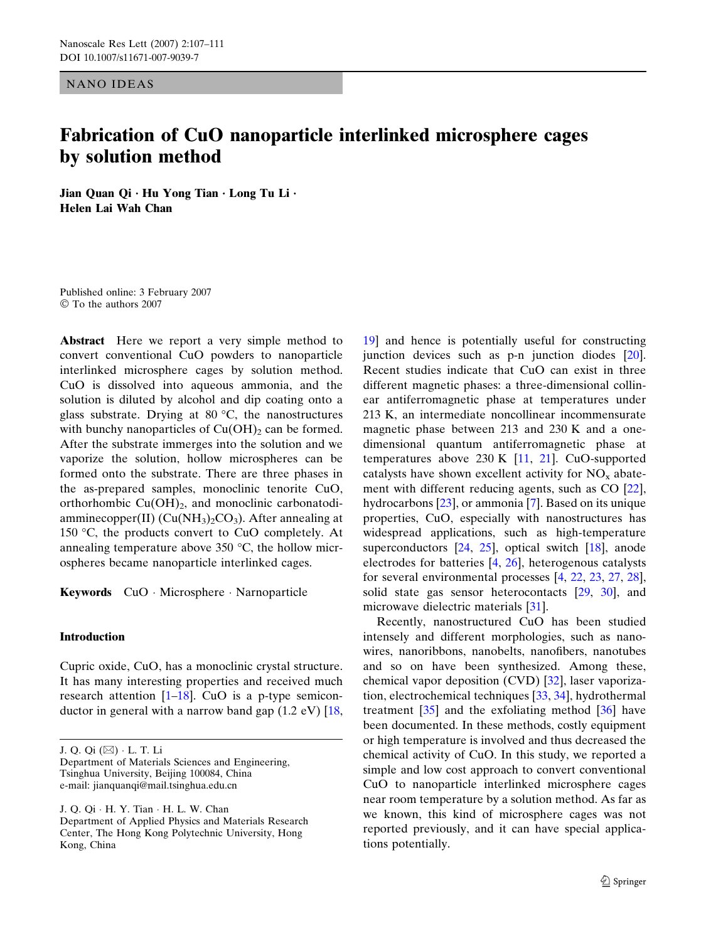NANO IDEAS

# Fabrication of CuO nanoparticle interlinked microsphere cages by solution method

Jian Quan Qi  $\cdot$  Hu Yong Tian  $\cdot$  Long Tu Li  $\cdot$ Helen Lai Wah Chan

Published online: 3 February 2007 To the authors 2007

Abstract Here we report a very simple method to convert conventional CuO powders to nanoparticle interlinked microsphere cages by solution method. CuO is dissolved into aqueous ammonia, and the solution is diluted by alcohol and dip coating onto a glass substrate. Drying at  $80 °C$ , the nanostructures with bunchy nanoparticles of  $Cu(OH)_2$  can be formed. After the substrate immerges into the solution and we vaporize the solution, hollow microspheres can be formed onto the substrate. There are three phases in the as-prepared samples, monoclinic tenorite CuO, orthorhombic  $Cu(OH)_2$ , and monoclinic carbonatodiamminecopper(II)  $(Cu(NH_3)_2CO_3)$ . After annealing at 150 °C, the products convert to CuO completely. At annealing temperature above  $350 \degree C$ , the hollow microspheres became nanoparticle interlinked cages.

Keywords CuO Microsphere Narnoparticle

## Introduction

Cupric oxide, CuO, has a monoclinic crystal structure. It has many interesting properties and received much research attention  $[1-18]$ . CuO is a p-type semiconductor in general with a narrow band gap  $(1.2 \text{ eV})$  [\[18](#page-4-0),

J. Q. Qi (&) L. T. Li

Department of Materials Sciences and Engineering, Tsinghua University, Beijing 100084, China e-mail: jianquanqi@mail.tsinghua.edu.cn

J. Q. Qi · H. Y. Tian · H. L. W. Chan Department of Applied Physics and Materials Research Center, The Hong Kong Polytechnic University, Hong Kong, China

[19](#page-4-0)] and hence is potentially useful for constructing junction devices such as p-n junction diodes [[20\]](#page-4-0). Recent studies indicate that CuO can exist in three different magnetic phases: a three-dimensional collinear antiferromagnetic phase at temperatures under 213 K, an intermediate noncollinear incommensurate magnetic phase between 213 and 230 K and a onedimensional quantum antiferromagnetic phase at temperatures above 230 K [[11,](#page-4-0) [21](#page-4-0)]. CuO-supported catalysts have shown excellent activity for  $NO<sub>x</sub>$  abatement with different reducing agents, such as CO [[22\]](#page-4-0), hydrocarbons [\[23](#page-4-0)], or ammonia [\[7](#page-4-0)]. Based on its unique properties, CuO, especially with nanostructures has widespread applications, such as high-temperature superconductors [[24,](#page-4-0) [25\]](#page-4-0), optical switch [[18\]](#page-4-0), anode electrodes for batteries [\[4](#page-4-0), [26](#page-4-0)], heterogenous catalysts for several environmental processes [\[4](#page-4-0), [22](#page-4-0), [23](#page-4-0), [27,](#page-4-0) [28\]](#page-4-0), solid state gas sensor heterocontacts [[29,](#page-4-0) [30](#page-4-0)], and microwave dielectric materials [[31\]](#page-4-0).

Recently, nanostructured CuO has been studied intensely and different morphologies, such as nanowires, nanoribbons, nanobelts, nanofibers, nanotubes and so on have been synthesized. Among these, chemical vapor deposition (CVD) [[32\]](#page-4-0), laser vaporization, electrochemical techniques [\[33](#page-4-0), [34](#page-4-0)], hydrothermal treatment  $\left[35\right]$  $\left[35\right]$  $\left[35\right]$  and the exfoliating method  $\left[36\right]$  $\left[36\right]$  $\left[36\right]$  have been documented. In these methods, costly equipment or high temperature is involved and thus decreased the chemical activity of CuO. In this study, we reported a simple and low cost approach to convert conventional CuO to nanoparticle interlinked microsphere cages near room temperature by a solution method. As far as we known, this kind of microsphere cages was not reported previously, and it can have special applications potentially.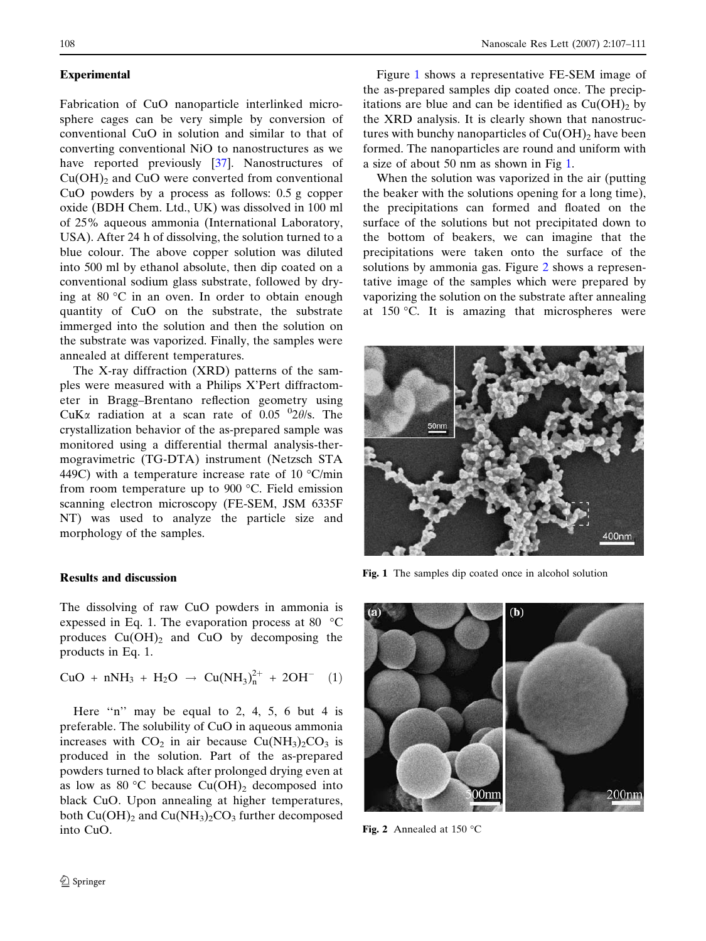## <span id="page-1-0"></span>Experimental

Fabrication of CuO nanoparticle interlinked microsphere cages can be very simple by conversion of conventional CuO in solution and similar to that of converting conventional NiO to nanostructures as we have reported previously [\[37](#page-4-0)]. Nanostructures of  $Cu(OH)<sub>2</sub>$  and CuO were converted from conventional CuO powders by a process as follows: 0.5 g copper oxide (BDH Chem. Ltd., UK) was dissolved in 100 ml of 25% aqueous ammonia (International Laboratory, USA). After 24 h of dissolving, the solution turned to a blue colour. The above copper solution was diluted into 500 ml by ethanol absolute, then dip coated on a conventional sodium glass substrate, followed by drying at 80  $\degree$ C in an oven. In order to obtain enough quantity of CuO on the substrate, the substrate immerged into the solution and then the solution on the substrate was vaporized. Finally, the samples were annealed at different temperatures.

The X-ray diffraction (XRD) patterns of the samples were measured with a Philips X'Pert diffractometer in Bragg–Brentano reflection geometry using CuK $\alpha$  radiation at a scan rate of 0.05  $^{0}2\theta$ /s. The crystallization behavior of the as-prepared sample was monitored using a differential thermal analysis-thermogravimetric (TG-DTA) instrument (Netzsch STA 449C) with a temperature increase rate of 10  $\degree$ C/min from room temperature up to  $900$  °C. Field emission scanning electron microscopy (FE-SEM, JSM 6335F NT) was used to analyze the particle size and morphology of the samples.

# Results and discussion

The dissolving of raw CuO powders in ammonia is expessed in Eq. 1. The evaporation process at 80  $\degree$ C produces  $Cu(OH)_2$  and  $CuO$  by decomposing the products in Eq. 1.

CuO + nNH<sub>3</sub> + H<sub>2</sub>O 
$$
\rightarrow
$$
 Cu(NH<sub>3</sub>)<sub>n</sub><sup>2+</sup> + 2OH<sup>-</sup> (1)

Here "n" may be equal to 2, 4, 5, 6 but 4 is preferable. The solubility of CuO in aqueous ammonia increases with  $CO<sub>2</sub>$  in air because  $Cu(NH<sub>3</sub>)<sub>2</sub>CO<sub>3</sub>$  is produced in the solution. Part of the as-prepared powders turned to black after prolonged drying even at as low as 80 °C because  $Cu(OH)_2$  decomposed into black CuO. Upon annealing at higher temperatures, both  $Cu(OH)_2$  and  $Cu(NH_3)_2CO_3$  further decomposed into CuO.

Figure 1 shows a representative FE-SEM image of the as-prepared samples dip coated once. The precipitations are blue and can be identified as  $Cu(OH)<sub>2</sub>$  by the XRD analysis. It is clearly shown that nanostructures with bunchy nanoparticles of  $Cu(OH)$ <sub>2</sub> have been formed. The nanoparticles are round and uniform with a size of about 50 nm as shown in Fig 1.

When the solution was vaporized in the air (putting the beaker with the solutions opening for a long time), the precipitations can formed and floated on the surface of the solutions but not precipitated down to the bottom of beakers, we can imagine that the precipitations were taken onto the surface of the solutions by ammonia gas. Figure 2 shows a representative image of the samples which were prepared by vaporizing the solution on the substrate after annealing at  $150$  °C. It is amazing that microspheres were



Fig. 1 The samples dip coated once in alcohol solution



Fig. 2 Annealed at  $150^{\circ}$ C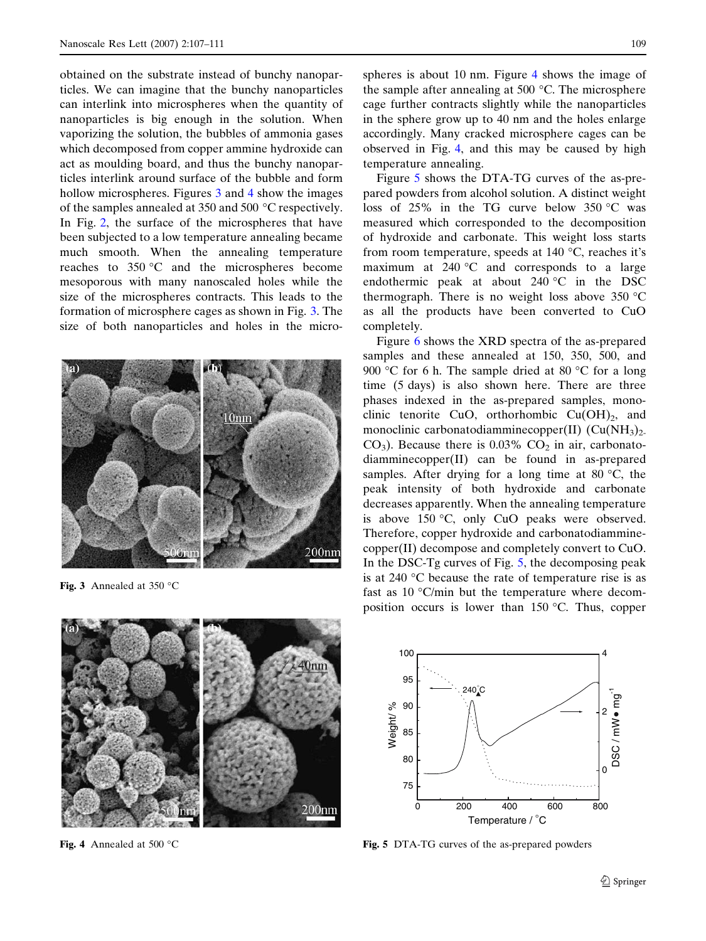obtained on the substrate instead of bunchy nanoparticles. We can imagine that the bunchy nanoparticles can interlink into microspheres when the quantity of nanoparticles is big enough in the solution. When vaporizing the solution, the bubbles of ammonia gases which decomposed from copper ammine hydroxide can act as moulding board, and thus the bunchy nanoparticles interlink around surface of the bubble and form hollow microspheres. Figures 3 and 4 show the images of the samples annealed at 350 and 500  $^{\circ}$ C respectively. In Fig. [2](#page-1-0), the surface of the microspheres that have been subjected to a low temperature annealing became much smooth. When the annealing temperature reaches to  $350 °C$  and the microspheres become mesoporous with many nanoscaled holes while the size of the microspheres contracts. This leads to the formation of microsphere cages as shown in Fig. 3. The size of both nanoparticles and holes in the micro-



Fig. 3 Annealed at 350  $^{\circ}$ C



Fig. 4 Annealed at 500 $\degree$ C

spheres is about 10 nm. Figure 4 shows the image of the sample after annealing at 500  $\degree$ C. The microsphere cage further contracts slightly while the nanoparticles in the sphere grow up to 40 nm and the holes enlarge accordingly. Many cracked microsphere cages can be observed in Fig. 4, and this may be caused by high temperature annealing.

Figure 5 shows the DTA-TG curves of the as-prepared powders from alcohol solution. A distinct weight loss of  $25\%$  in the TG curve below  $350\degree\text{C}$  was measured which corresponded to the decomposition of hydroxide and carbonate. This weight loss starts from room temperature, speeds at  $140^{\circ}$ C, reaches it's maximum at  $240 °C$  and corresponds to a large endothermic peak at about  $240 °C$  in the DSC thermograph. There is no weight loss above  $350 °C$ as all the products have been converted to CuO completely.

Figure [6](#page-3-0) shows the XRD spectra of the as-prepared samples and these annealed at 150, 350, 500, and 900 °C for 6 h. The sample dried at 80 °C for a long time (5 days) is also shown here. There are three phases indexed in the as-prepared samples, monoclinic tenorite CuO, orthorhombic  $Cu(OH)_2$ , and monoclinic carbonatodiamminecopper(II)  $(Cu(NH<sub>3</sub>)<sub>2</sub>)$  $CO<sub>3</sub>$ ). Because there is 0.03%  $CO<sub>2</sub>$  in air, carbonatodiamminecopper(II) can be found in as-prepared samples. After drying for a long time at 80  $\degree$ C, the peak intensity of both hydroxide and carbonate decreases apparently. When the annealing temperature is above  $150 °C$ , only CuO peaks were observed. Therefore, copper hydroxide and carbonatodiamminecopper(II) decompose and completely convert to CuO. In the DSC-Tg curves of Fig. 5, the decomposing peak is at 240  $\degree$ C because the rate of temperature rise is as fast as 10  $\degree$ C/min but the temperature where decomposition occurs is lower than  $150^{\circ}$ C. Thus, copper



Fig. 5 DTA-TG curves of the as-prepared powders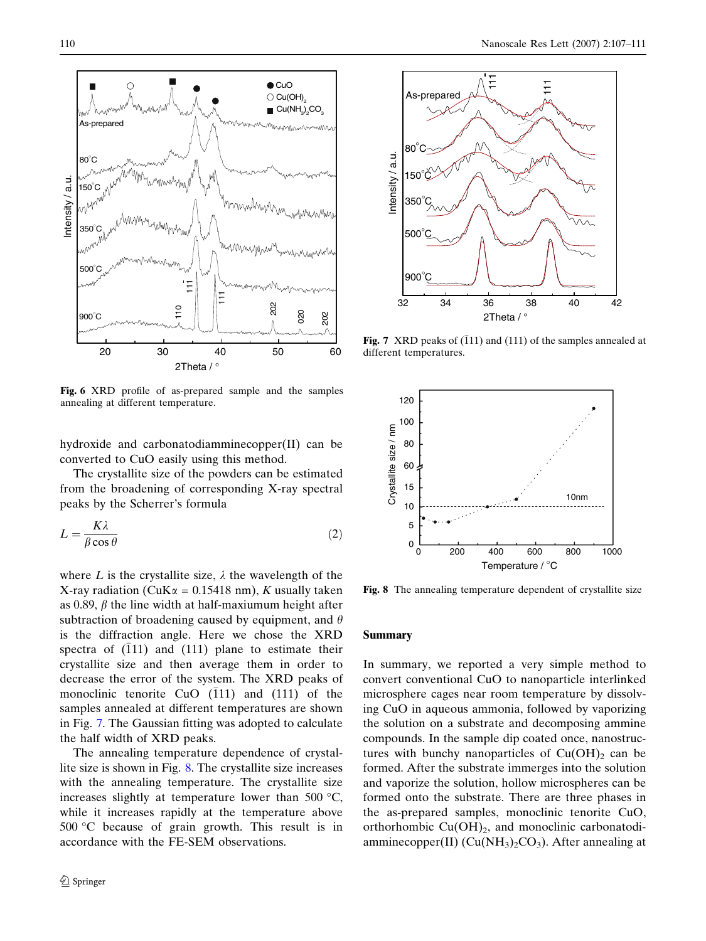<span id="page-3-0"></span>

Fig. 6 XRD profile of as-prepared sample and the samples annealing at different temperature.

hydroxide and carbonatodiamminecopper(II) can be converted to CuO easily using this method.

The crystallite size of the powders can be estimated from the broadening of corresponding X-ray spectral peaks by the Scherrer's formula

$$
L = \frac{K\lambda}{\beta\cos\theta} \tag{2}
$$

where L is the crystallite size,  $\lambda$  the wavelength of the X-ray radiation (CuK $\alpha$  = 0.15418 nm), K usually taken as 0.89,  $\beta$  the line width at half-maxiumum height after subtraction of broadening caused by equipment, and  $\theta$ is the diffraction angle. Here we chose the XRD spectra of  $(111)$  and  $(111)$  plane to estimate their crystallite size and then average them in order to decrease the error of the system. The XRD peaks of monoclinic tenorite CuO  $(111)$  and  $(111)$  of the samples annealed at different temperatures are shown in Fig. 7. The Gaussian fitting was adopted to calculate the half width of XRD peaks.

The annealing temperature dependence of crystallite size is shown in Fig. 8. The crystallite size increases with the annealing temperature. The crystallite size increases slightly at temperature lower than 500  $\mathrm{^{\circ}C}$ , while it increases rapidly at the temperature above  $500 \text{ °C}$  because of grain growth. This result is in accordance with the FE-SEM observations.



Fig. 7 XRD peaks of  $(111)$  and  $(111)$  of the samples annealed at different temperatures.



Fig. 8 The annealing temperature dependent of crystallite size

#### Summary

In summary, we reported a very simple method to convert conventional CuO to nanoparticle interlinked microsphere cages near room temperature by dissolving CuO in aqueous ammonia, followed by vaporizing the solution on a substrate and decomposing ammine compounds. In the sample dip coated once, nanostructures with bunchy nanoparticles of  $Cu(OH)<sub>2</sub>$  can be formed. After the substrate immerges into the solution and vaporize the solution, hollow microspheres can be formed onto the substrate. There are three phases in the as-prepared samples, monoclinic tenorite CuO, orthorhombic  $Cu(OH)_2$ , and monoclinic carbonatodiamminecopper(II) ( $Cu(NH<sub>3</sub>)<sub>2</sub>CO<sub>3</sub>$ ). After annealing at